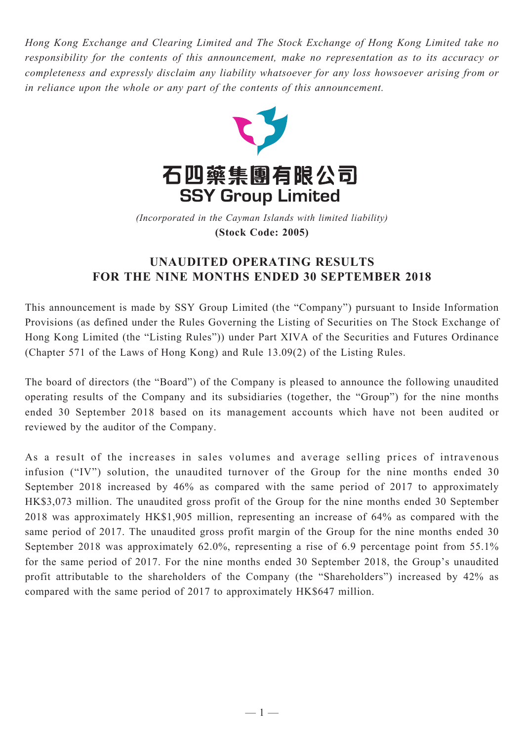*Hong Kong Exchange and Clearing Limited and The Stock Exchange of Hong Kong Limited take no responsibility for the contents of this announcement, make no representation as to its accuracy or completeness and expressly disclaim any liability whatsoever for any loss howsoever arising from or in reliance upon the whole or any part of the contents of this announcement.*



(Incorporated in the Cayman Islands with limited liability) **(Stock Code: 2005)** *(Incorporated in the Cayman Islands with limited liability)* **(Stock Code: 2005)**

## **UNAUDITED OPERATING RESULTS FOR THE NINE MONTHS ENDED 30 SEPTEMBER 2018**

This announcement is made by SSY Group Limited (the "Company") pursuant to Inside Information Provisions (as defined under the Rules Governing the Listing of Securities on The Stock Exchange of Hong Kong Limited (the "Listing Rules")) under Part XIVA of the Securities and Futures Ordinance (Chapter 571 of the Laws of Hong Kong) and Rule 13.09(2) of the Listing Rules.

The board of directors (the "Board") of the Company is pleased to announce the following unaudited operating results of the Company and its subsidiaries (together, the "Group") for the nine months ended 30 September 2018 based on its management accounts which have not been audited or reviewed by the auditor of the Company.

As a result of the increases in sales volumes and average selling prices of intravenous infusion ("IV") solution, the unaudited turnover of the Group for the nine months ended 30 September 2018 increased by 46% as compared with the same period of 2017 to approximately HK\$3,073 million. The unaudited gross profit of the Group for the nine months ended 30 September 2018 was approximately HK\$1,905 million, representing an increase of 64% as compared with the same period of 2017. The unaudited gross profit margin of the Group for the nine months ended 30 September 2018 was approximately 62.0%, representing a rise of 6.9 percentage point from 55.1% for the same period of 2017. For the nine months ended 30 September 2018, the Group's unaudited profit attributable to the shareholders of the Company (the "Shareholders") increased by 42% as compared with the same period of 2017 to approximately HK\$647 million.